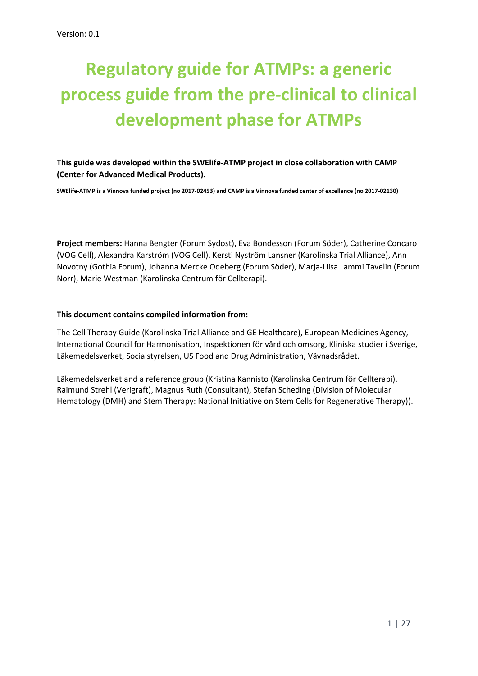# **Regulatory guide for ATMPs: a generic process guide from the pre-clinical to clinical development phase for ATMPs**

**This guide was developed within the SWElife-ATMP project in close collaboration with CAMP (Center for Advanced Medical Products).**

**SWElife-ATMP is a Vinnova funded project (no 2017-02453) and CAMP is a Vinnova funded center of excellence (no 2017-02130)**

**Project members:** Hanna Bengter (Forum Sydost), Eva Bondesson (Forum Söder), Catherine Concaro (VOG Cell), Alexandra Karström (VOG Cell), Kersti Nyström Lansner (Karolinska Trial Alliance), Ann Novotny (Gothia Forum), Johanna Mercke Odeberg (Forum Söder), Marja-Liisa Lammi Tavelin (Forum Norr), Marie Westman (Karolinska Centrum för Cellterapi).

#### **This document contains compiled information from:**

The Cell Therapy Guide (Karolinska Trial Alliance and GE Healthcare), European Medicines Agency, International Council for Harmonisation, Inspektionen för vård och omsorg, Kliniska studier i Sverige, Läkemedelsverket, Socialstyrelsen, US Food and Drug Administration, Vävnadsrådet.

Läkemedelsverket and a reference group (Kristina Kannisto (Karolinska Centrum för Cellterapi), Raimund Strehl (Verigraft), Magnus Ruth (Consultant), Stefan Scheding (Division of Molecular Hematology (DMH) and Stem Therapy: National Initiative on Stem Cells for Regenerative Therapy)).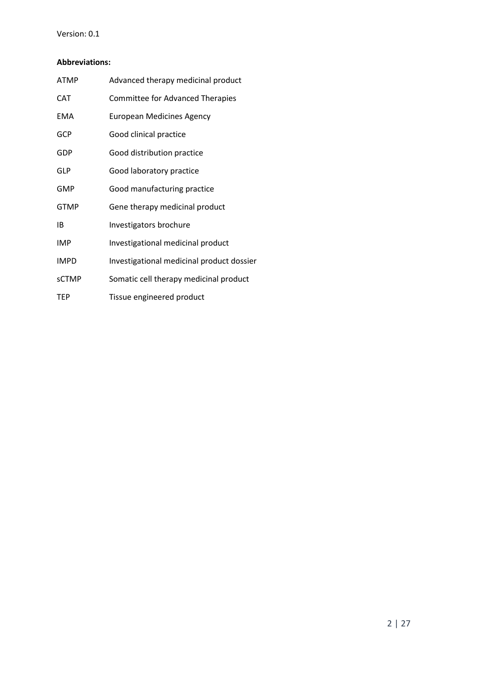#### Version: 0.1

#### **Abbreviations:**

| <b>ATMP</b>  | Advanced therapy medicinal product        |
|--------------|-------------------------------------------|
| CAT          | <b>Committee for Advanced Therapies</b>   |
| <b>EMA</b>   | <b>European Medicines Agency</b>          |
| <b>GCP</b>   | Good clinical practice                    |
| GDP          | Good distribution practice                |
| GLP          | Good laboratory practice                  |
| <b>GMP</b>   | Good manufacturing practice               |
| <b>GTMP</b>  | Gene therapy medicinal product            |
| IB           | Investigators brochure                    |
| <b>IMP</b>   | Investigational medicinal product         |
| <b>IMPD</b>  | Investigational medicinal product dossier |
| <b>sCTMP</b> | Somatic cell therapy medicinal product    |
| TEP          | Tissue engineered product                 |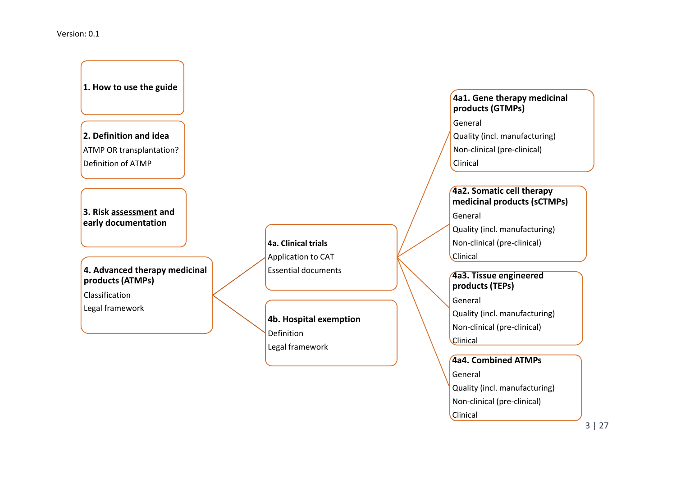#### Version: 0.1

**1. How to use the guide**

**2. Definition and idea** ATMP OR transplantation? Definition of ATMP

**3. Risk assessment and early documentation**

#### **4. Advanced therapy medicinal products (ATMPs)**

Classification

Legal framework

**4a. Clinical trials** Application to CAT Essential documents

**4b. Hospital exemption** Definition Legal framework

#### **4a1. Gene therapy medicinal products (GTMPs)**

General

Quality (incl. manufacturing)

Non-clinical (pre-clinical)

Clinical

#### **4a2. Somatic cell therapy medicinal products (sCTMPs)**

General

Quality (incl. manufacturing)

Non-clinical (pre-clinical)

Clinical

### **4a3. Tissue engineered products (TEPs)**

General

Quality (incl. manufacturing)

Non-clinical (pre-clinical)

**Clinical** 

**4a4. Combined ATMPs** General Quality (incl. manufacturing) Non-clinical (pre-clinical) Clinical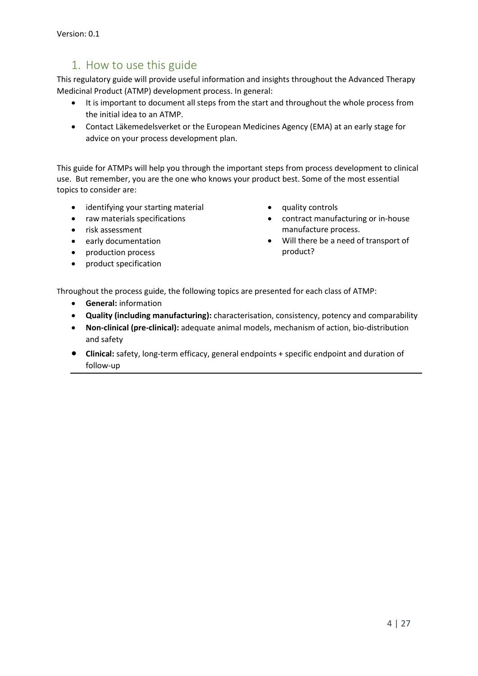# 1. How to use this guide

This regulatory guide will provide useful information and insights throughout the Advanced Therapy Medicinal Product (ATMP) development process. In general:

- It is important to document all steps from the start and throughout the whole process from the initial idea to an ATMP.
- Contact Läkemedelsverket or the European Medicines Agency (EMA) at an early stage for advice on your process development plan.

This guide for ATMPs will help you through the important steps from process development to clinical use. But remember, you are the one who knows your product best. Some of the most essential topics to consider are:

- identifying your starting material
- raw materials specifications
- risk assessment
- early documentation
- production process
- product specification
- quality controls
- contract manufacturing or in-house manufacture process.
- Will there be a need of transport of product?

Throughout the process guide, the following topics are presented for each class of ATMP:

- **General:** information
- **Quality (including manufacturing):** characterisation, consistency, potency and comparability
- **Non-clinical (pre-clinical):** adequate animal models, mechanism of action, bio-distribution and safety
- **Clinical:** safety, long-term efficacy, general endpoints + specific endpoint and duration of follow-up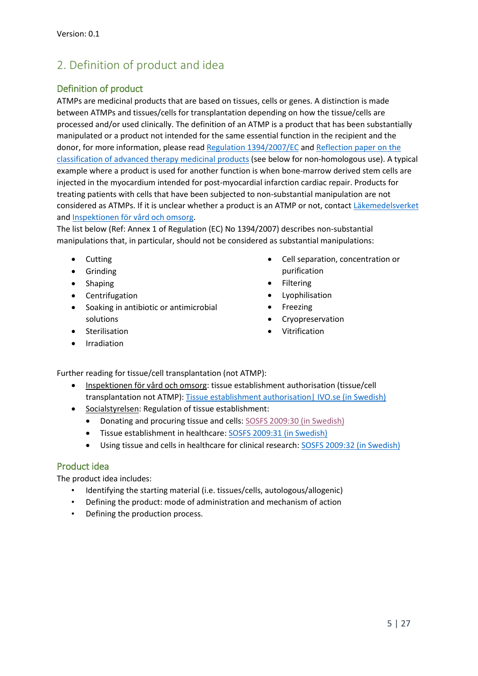# 2. Definition of product and idea

### Definition of product

ATMPs are medicinal products that are based on tissues, cells or genes. A distinction is made between ATMPs and tissues/cells for transplantation depending on how the tissue/cells are processed and/or used clinically. The definition of an ATMP is a product that has been substantially manipulated or a product not intended for the same essential function in the recipient and the donor, for more information, please rea[d Regulation 1394/2007/EC](https://ec.europa.eu/health/sites/health/files/files/eudralex/vol-1/reg_2007_1394/reg_2007_1394_en.pdf) and [Reflection paper on the](http://www.ema.europa.eu/docs/en_GB/document_library/Scientific_guideline/2015/06/WC500187744.pdf)  classification of [advanced therapy medicinal products](http://www.ema.europa.eu/docs/en_GB/document_library/Scientific_guideline/2015/06/WC500187744.pdf) (see below for non-homologous use). A typical example where a product is used for another function is when bone-marrow derived stem cells are injected in the myocardium intended for post-myocardial infarction cardiac repair. Products for treating patients with cells that have been subjected to non-substantial manipulation are not considered as ATMPs. If it is unclear whether a product is an ATMP or not, contact [Läkemedelsverket](https://lakemedelsverket.se/malgrupp/Halso---sjukvard/Produktomraden/Avancerade-terapier/) and [Inspektionen för vård och omsorg.](https://www.ivo.se/tillstand-och-register/)

The list below (Ref: Annex 1 of Regulation (EC) No 1394/2007) describes non-substantial manipulations that, in particular, should not be considered as substantial manipulations:

- Cutting
- **•** Grinding
- Shaping
- Centrifugation
- Soaking in antibiotic or antimicrobial solutions
- **•** Sterilisation
- Irradiation
- Cell separation, concentration or purification
- Filtering
- Lyophilisation
- Freezing
- Cryopreservation
- Vitrification

Further reading for tissue/cell transplantation (not ATMP):

- Inspektionen för vård och omsorg: tissue establishment authorisation (tissue/cell transplantation not ATMP): [Tissue establishment authorisation|](https://www.ivo.se/tillstand-och-register/halso--och-sjukvardstillstand/vavnadsinrattningar/) IVO.se (in Swedish)
- Socialstyrelsen: Regulation of tissue establishment:
	- Donating and procuring tissue and cells: [SOSFS 2009:30 \(in Swedish\)](http://www.socialstyrelsen.se/sosfs/2009-30/)
	- Tissue establishment in healthcare: [SOSFS 2009:31 \(in Swedish\)](http://www.socialstyrelsen.se/sosfs/2009-31)
	- Using tissue and cells in healthcare for clinical research: [SOSFS 2009:32 \(in Swedish\)](http://www.socialstyrelsen.se/sosfs/2009-32)

#### Product idea

The product idea includes:

- Identifying the starting material (i.e. tissues/cells, autologous/allogenic)
- Defining the product: mode of administration and mechanism of action
- Defining the production process.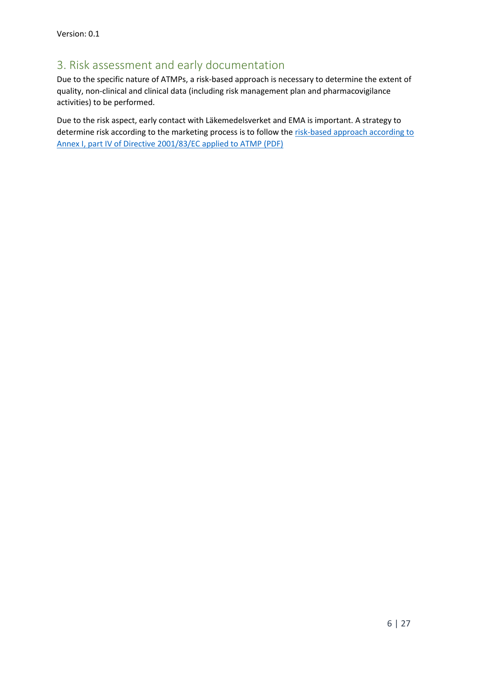# 3. Risk assessment and early documentation

Due to the specific nature of ATMPs, a risk-based approach is necessary to determine the extent of quality, non-clinical and clinical data (including risk management plan and pharmacovigilance activities) to be performed.

Due to the risk aspect, early contact with Läkemedelsverket and EMA is important. A strategy to determine risk according to the marketing process is to follow the risk-based approach according to Annex [I, part IV of Directive 2001/83/EC applied to ATMP](http://www.ema.europa.eu/ema/index.jsp?curl=pages/regulation/general/general_content_001347.jsp&mid=WC0b01ac058002958a) [\(PDF\)](http://www.ema.europa.eu/docs/en_GB/document_library/Scientific_guideline/2013/03/WC500139748.pdf)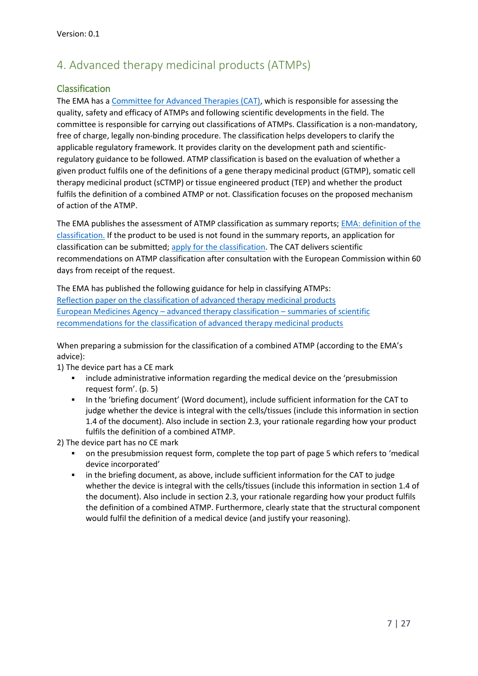# 4. Advanced therapy medicinal products (ATMPs)

### Classification

The EMA has a [Committee for Advanced Therapies \(CAT\),](http://www.ema.europa.eu/ema/index.jsp?curl=pages/about_us/general/general_content_000266.jsp&mid=WC0b01ac05800292a4) which is responsible for assessing the quality, safety and efficacy of ATMPs and following scientific developments in the field. The committee is responsible for carrying out classifications of ATMPs. Classification is a non-mandatory, free of charge, legally non-binding procedure. The classification helps developers to clarify the applicable regulatory framework. It provides clarity on the development path and scientificregulatory guidance to be followed. ATMP classification is based on the evaluation of whether a given product fulfils one of the definitions of a gene therapy medicinal product (GTMP), somatic cell therapy medicinal product (sCTMP) or tissue engineered product (TEP) and whether the product fulfils the definition of a combined ATMP or not. Classification focuses on the proposed mechanism of action of the ATMP.

The EMA publishes the assessment of ATMP classification as summary reports; [EMA: definition](http://www.ema.europa.eu/ema/index.jsp?curl=pages/regulation/general/general_content_000294.jsp&mid=WC0b01ac05800241e0) of the [classification.](http://www.ema.europa.eu/ema/index.jsp?curl=pages/regulation/general/general_content_000294.jsp&mid=WC0b01ac05800241e0) If the product to be used is not found in the summary reports, an application for classification can be submitted[; apply](http://www.ema.europa.eu/ema/index.jsp?curl=pages/regulation/general/general_content_000296.jsp&mid=WC0b01ac058007f4bc&jsenabled=true) [for the classification.](http://www.ema.europa.eu/ema/index.jsp?curl=pages/regulation/general/general_content_000296.jsp&mid=WC0b01ac058007f4bc&jsenabled=true) The CAT delivers scientific recommendations on ATMP classification after consultation with the European Commission within 60 days from receipt of the request.

The EMA has published the following guidance for help in classifying ATMPs: [Reflection paper on the classification of](http://www.ema.europa.eu/docs/en_GB/document_library/Scientific_guideline/2015/06/WC500187744.pdf) advanced therapy medicinal products European Medicines Agency – [advanced therapy classification](http://www.ema.europa.eu/ema/index.jsp?curl=pages/regulation/general/general_content_000301.jsp&mid=WC0b01ac05800862c0) – summaries of scientific [recommendations for the classification of advanced therapy medicinal products](http://www.ema.europa.eu/ema/index.jsp?curl=pages/regulation/general/general_content_000301.jsp&mid=WC0b01ac05800862c0)

When preparing a submission for the classification of a combined ATMP (according to the EMA's advice):

1) The device part has a CE mark

- include administrative information regarding the medical device on the 'presubmission request form'. (p. 5)
- In the 'briefing document' (Word document), include sufficient information for the CAT to judge whether the device is integral with the cells/tissues (include this information in section 1.4 of the document). Also include in section 2.3, your rationale regarding how your product fulfils the definition of a combined ATMP.

2) The device part has no CE mark

- on the presubmission request form, complete the top part of page 5 which refers to 'medical device incorporated'
- in the briefing document, as above, include sufficient information for the CAT to judge whether the device is integral with the cells/tissues (include this information in section 1.4 of the document). Also include in section 2.3, your rationale regarding how your product fulfils the definition of a combined ATMP. Furthermore, clearly state that the structural component would fulfil the definition of a medical device (and justify your reasoning).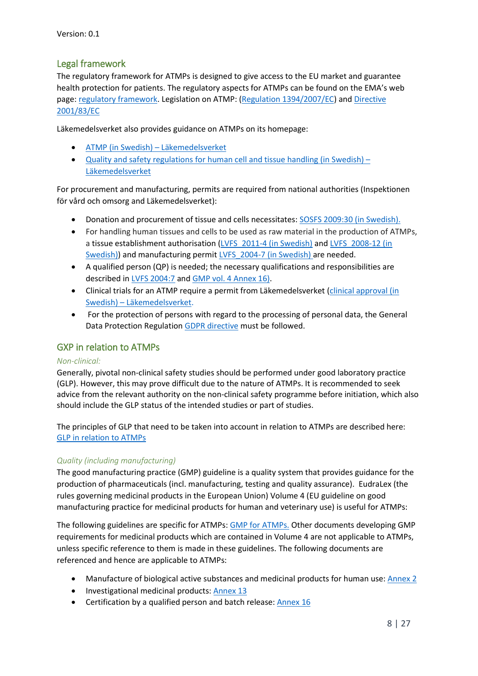### Legal framework

The regulatory framework for ATMPs is designed to give access to the EU market and guarantee health protection for patients. The regulatory aspects for ATMPs can be found on the EMA's web page: regulatory [framework.](http://www.ema.europa.eu/ema/index.jsp?curl=pages/regulation/general/general_content_000295.jsp) Legislation on ATMP: [\(Regulation 1394/2007/EC\)](https://ec.europa.eu/health/sites/health/files/files/eudralex/vol-1/reg_2007_1394/reg_2007_1394_en.pdf) and Directive [2001/83/EC](https://ec.europa.eu/health/sites/health/files/files/eudralex/vol-1/dir_2001_83_consol_2012/dir_2001_83_cons_2012_en.pdf) 

Läkemedelsverket also provides guidance on ATMPs on its homepage:

- [ATMP \(in Swedish\)](https://lakemedelsverket.se/malgrupp/Halso---sjukvard/Produktomraden/Avancerade-terapier/) Läkemedelsverket
- [Quality and safety regulations for human cell and tissue handling \(in](https://lakemedelsverket.se/malgrupp/Halso---sjukvard/Tillsyn--uppfoljning/Vavnader-och-celler/) Swedish) [Läkemedelsverket](https://lakemedelsverket.se/malgrupp/Halso---sjukvard/Tillsyn--uppfoljning/Vavnader-och-celler/)

For procurement and manufacturing, permits are required from national authorities (Inspektionen för vård och omsorg and Läkemedelsverket):

- Donation and procurement of tissue and cells necessitates: [SOSFS 2009:30 \(in Swedish\).](http://www.socialstyrelsen.se/sosfs/2009-30/)
- For handling human tissues and cells to be used as raw material in the production of ATMPs, a tissue establishment authorisation (LVFS 2011-4 (in Swedish) and LVFS 2008-12 (in [Swedish\)\)](https://lakemedelsverket.se/upload/lvfs/LVFS_2008-12.pdf) and manufacturing permit [LVFS\\_2004-7 \(in Swedish\)](https://lakemedelsverket.se/upload/lvfs/LVFS_2004-7.pdf) are needed.
- A qualified person (QP) is needed; the necessary qualifications and responsibilities are described i[n LVFS 2004:7](https://lakemedelsverket.se/upload/lvfs/konsoliderade/LVFS_2004_7_konsoliderad_tom_2016_71.pdf) and [GMP vol. 4 Annex 16\)](https://ec.europa.eu/health/sites/health/files/files/eudralex/vol-4/v4_an16_201510_en.pdf).
- Clinical trials for an ATMP require a permit from Läkemedelsverket [\(clinical approval \(in](https://lakemedelsverket.se/malgrupp/Foretag/Lakemedel/Kliniska-provningar/)  Swedish) – [Läkemedelsverket.](https://lakemedelsverket.se/malgrupp/Foretag/Lakemedel/Kliniska-provningar/)
- For the protection of persons with regard to the processing of personal data, the General Data Protection Regulation [GDPR directive](http://eur-lex.europa.eu/legal-content/EN/TXT/PDF/?uri=CELEX:32016R0679&qid=1473069680789&from=SV) must be followed.

#### GXP in relation to ATMPs

#### *Non-clinical:*

Generally, pivotal non-clinical safety studies should be performed under good laboratory practice (GLP). However, this may prove difficult due to the nature of ATMPs. It is recommended to seek advice from the relevant authority on the non-clinical safety programme before initiation, which also should include the GLP status of the intended studies or part of studies.

The principles of GLP that need to be taken into account in relation to ATMPs are described here: [GLP in relation to ATMPs](http://www.ema.europa.eu/docs/en_GB/document_library/Other/2017/07/WC500231181.pdf)

#### *Quality (including manufacturing)*

The good manufacturing practice (GMP) guideline is a quality system that provides guidance for the production of pharmaceuticals (incl. manufacturing, testing and quality assurance). EudraLex (the rules governing medicinal products in the European Union) Volume 4 (EU guideline on good manufacturing practice for medicinal products for human and veterinary use) is useful for ATMPs:

The following guidelines are specific for ATMPs: [GMP for ATMPs](https://ec.europa.eu/health/sites/health/files/files/eudralex/vol-4/2017_11_22_guidelines_gmp_for_atmps.pdf). Other documents developing GMP requirements for medicinal products which are contained in Volume 4 are not applicable to ATMPs, unless specific reference to them is made in these guidelines. The following documents are referenced and hence are applicable to ATMPs:

- Manufacture of biological active substances and medicinal products for human use[: Annex](https://ec.europa.eu/health/sites/health/files/files/eudralex/vol-4/vol4-an2__2012-06_en.pdf) 2
- Investigational medicinal products[: Annex](https://ec.europa.eu/health/sites/health/files/files/eudralex/vol-4/2009_06_annex13.pdf) 13
- Certification by a qualified person and batch release: [Annex](https://ec.europa.eu/health/sites/health/files/files/eudralex/vol-4/v4_an16_201510_en.pdf) 16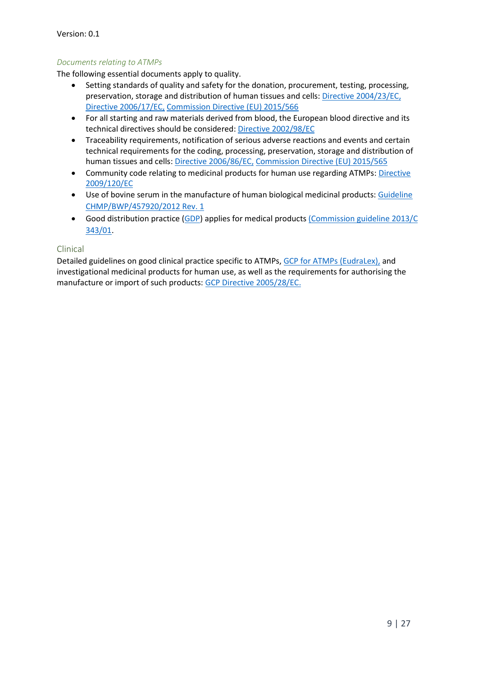#### *Documents relating to ATMPs*

The following essential documents apply to quality.

- Setting standards of quality and safety for the donation, procurement, testing, processing, preservation, storage and distribution of human tissues and cells: [Directive](http://eur-lex.europa.eu/LexUriServ/LexUriServ.do?uri=OJ:L:2004:102:0048:0058:en:PDF) [2004/23/EC,](http://eur-lex.europa.eu/LexUriServ/LexUriServ.do?uri=OJ:L:2004:102:0048:0058:en:PDF) [Directive](http://eur-lex.europa.eu/LexUriServ/LexUriServ.do?uri=OJ:L:2006:038:0040:0052:EN:PDF) [2006/17/EC,](http://eur-lex.europa.eu/LexUriServ/LexUriServ.do?uri=OJ:L:2006:038:0040:0052:EN:PDF) [Commission Directive \(EU\) 2015/566](http://eur-lex.europa.eu/legal-content/EN/TXT/PDF/?uri=CELEX:32015L0566&from=EN)
- For all starting and raw materials derived from blood, the European blood directive and its technical directives should be considered[: Directive 2002/98/EC](https://ec.europa.eu/health/sites/health/files/files/eudralex/vol-1/dir_2002_98/dir_2002_98_en.pdf)
- Traceability requirements, notification of serious adverse reactions and events and certain technical requirements for the coding, processing, preservation, storage and distribution of human tissues and cells: [Directive](http://eur-lex.europa.eu/LexUriServ/LexUriServ.do?uri=OJ:L:2006:294:0032:0050:EN:PDF) [2006/86/EC,](http://eur-lex.europa.eu/LexUriServ/LexUriServ.do?uri=OJ:L:2006:294:0032:0050:EN:PDF) [Commission Directive \(EU\) 2015/565](http://eur-lex.europa.eu/legal-content/EN/TXT/PDF/?uri=CELEX:32015L0565&from=EN)
- Community code relating to medicinal products for human use regarding ATMPs[: Directive](https://ec.europa.eu/health/sites/health/files/files/eudralex/vol-1/dir_2009_120/dir_2009_120_en.pdf) [2009/120/EC](https://ec.europa.eu/health/sites/health/files/files/eudralex/vol-1/dir_2009_120/dir_2009_120_en.pdf)
- Use of bovine serum in the manufacture of human biological medicinal products: [Guideline](http://www.ema.europa.eu/docs/en_GB/document_library/Scientific_guideline/2013/06/WC500143930.pdf)  [CHMP/BWP/457920/2012 Rev. 1](http://www.ema.europa.eu/docs/en_GB/document_library/Scientific_guideline/2013/06/WC500143930.pdf)
- Good distribution practice [\(GDP\)](https://ec.europa.eu/health/human-use/good_distribution_practice_en) applies for medical products [\(Commission guideline 2013/C](http://eur-lex.europa.eu/LexUriServ/LexUriServ.do?uri=OJ:C:2013:343:0001:0014:EN:PDF)  [343/01.](http://eur-lex.europa.eu/LexUriServ/LexUriServ.do?uri=OJ:C:2013:343:0001:0014:EN:PDF)

#### Clinical

Detailed guidelines on good clinical practice specific to ATMPs, [GCP for ATMPs](https://ec.europa.eu/health/sites/health/files/files/eudralex/vol-10/2009_11_03_guideline.pdf) (EudraLex), and investigational medicinal products for human use, as well as the requirements for authorising the manufacture or import of such products[: GCP Directive](http://eur-lex.europa.eu/LexUriServ/LexUriServ.do?uri=OJ:L:2005:091:0013:0019:en:PDF) [2005/28/EC.](http://eur-lex.europa.eu/LexUriServ/LexUriServ.do?uri=OJ:L:2005:091:0013:0019:en:PDF)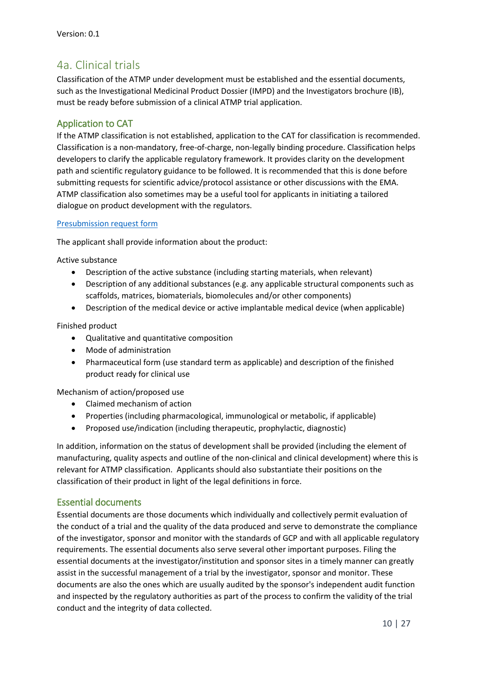# 4a. Clinical trials

Classification of the ATMP under development must be established and the essential documents, such as the Investigational Medicinal Product Dossier (IMPD) and the Investigators brochure (IB), must be ready before submission of a clinical ATMP trial application.

### Application to CAT

If the ATMP classification is not established, application to the CAT for classification is recommended. Classification is a non-mandatory, free-of-charge, non-legally binding procedure. Classification helps developers to clarify the applicable regulatory framework. It provides clarity on the development path and scientific regulatory guidance to be followed. It is recommended that this is done before submitting requests for scientific advice/protocol assistance or other discussions with the EMA. ATMP classification also sometimes may be a useful tool for applicants in initiating a tailored dialogue on product development with the regulators.

#### [Presubmission request form](http://www.ema.europa.eu/docs/en_GB/document_library/Template_or_form/2010/02/WC500070843.pdf)

The applicant shall provide information about the product:

Active substance

- Description of the active substance (including starting materials, when relevant)
- Description of any additional substances (e.g. any applicable structural components such as scaffolds, matrices, biomaterials, biomolecules and/or other components)
- Description of the medical device or active implantable medical device (when applicable)

Finished product

- Qualitative and quantitative composition
- Mode of administration
- Pharmaceutical form (use standard term as applicable) and description of the finished product ready for clinical use

Mechanism of action/proposed use

- Claimed mechanism of action
- Properties (including pharmacological, immunological or metabolic, if applicable)
- Proposed use/indication (including therapeutic, prophylactic, diagnostic)

In addition, information on the status of development shall be provided (including the element of manufacturing, quality aspects and outline of the non-clinical and clinical development) where this is relevant for ATMP classification. Applicants should also substantiate their positions on the classification of their product in light of the legal definitions in force.

#### Essential documents

Essential documents are those documents which individually and collectively permit evaluation of the conduct of a trial and the quality of the data produced and serve to demonstrate the compliance of the investigator, sponsor and monitor with the standards of GCP and with all applicable regulatory requirements. The essential documents also serve several other important purposes. Filing the essential documents at the investigator/institution and sponsor sites in a timely manner can greatly assist in the successful management of a trial by the investigator, sponsor and monitor. These documents are also the ones which are usually audited by the sponsor's independent audit function and inspected by the regulatory authorities as part of the process to confirm the validity of the trial conduct and the integrity of data collected.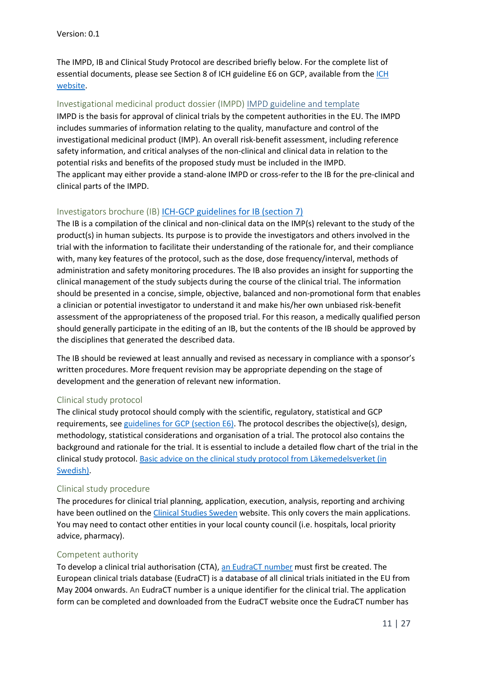The IMPD, IB and Clinical Study Protocol are described briefly below. For the complete list of essential documents, please see Section 8 of ICH guideline E6 on GCP, available from the ICH [website.](http://www.ich.org/products/guidelines/efficacy/article/efficacy-guidelines.html)

#### Investigational medicinal product dossier (IMPD) [IMPD guideline and template](https://ec.europa.eu/health/sites/health/files/files/eudralex/vol-10/2012-05_quality_for_biological.pdf)

IMPD is the basis for approval of clinical trials by the competent authorities in the EU. The IMPD includes summaries of information relating to the quality, manufacture and control of the investigational medicinal product (IMP). An overall risk-benefit assessment, including reference safety information, and critical analyses of the non-clinical and clinical data in relation to the potential risks and benefits of the proposed study must be included in the IMPD. The applicant may either provide a stand-alone IMPD or cross-refer to the IB for the pre-clinical and clinical parts of the IMPD.

#### Investigators brochure (IB) **ICH-GCP** guidelines for IB (section 7)

The IB is a compilation of the clinical and non-clinical data on the IMP(s) relevant to the study of the product(s) in human subjects. Its purpose is to provide the investigators and others involved in the trial with the information to facilitate their understanding of the rationale for, and their compliance with, many key features of the protocol, such as the dose, dose frequency/interval, methods of administration and safety monitoring procedures. The IB also provides an insight for supporting the clinical management of the study subjects during the course of the clinical trial. The information should be presented in a concise, simple, objective, balanced and non-promotional form that enables a clinician or potential investigator to understand it and make his/her own unbiased risk-benefit assessment of the appropriateness of the proposed trial. For this reason, a medically qualified person should generally participate in the editing of an IB, but the contents of the IB should be approved by the disciplines that generated the described data.

The IB should be reviewed at least annually and revised as necessary in compliance with a sponsor's written procedures. More frequent revision may be appropriate depending on the stage of development and the generation of relevant new information.

#### Clinical study protocol

The clinical study protocol should comply with the scientific, regulatory, statistical and GCP requirements, se[e guidelines for GCP \(section E6\).](http://www.ich.org/products/guidelines/efficacy/article/efficacy-guidelines.html) The protocol describes the objective(s), design, methodology, statistical considerations and organisation of a trial. The protocol also contains the background and rationale for the trial. It is essential to include a detailed flow chart of the trial in the clinical study protocol. Basic advice on the clinical study [protocol from Läkemedelsverket \(in](https://lakemedelsverket.se/upload/foretag/humanlakemedel/klinisk-provning/Tips%20och%20r%c3%a5d%20f%c3%b6r%20protokoll%20till%20klinisk%20l%c3%a4kemedelspr%c3%b6vning_%20Final%20mars%202017.pdf)  [Swedish\).](https://lakemedelsverket.se/upload/foretag/humanlakemedel/klinisk-provning/Tips%20och%20r%c3%a5d%20f%c3%b6r%20protokoll%20till%20klinisk%20l%c3%a4kemedelspr%c3%b6vning_%20Final%20mars%202017.pdf)

#### Clinical study procedure

The procedures for clinical trial planning, application, execution, analysis, reporting and archiving have been outlined on the [Clinical Studies Sweden](https://www.kliniskastudier.se/english.html) website. This only covers the main applications. You may need to contact other entities in your local county council (i.e. hospitals, local priority advice, pharmacy).

#### Competent authority

To develop a clinical trial authorisation (CTA), an [EudraCT number](https://eudract.ema.europa.eu/results-web/) must first be created. The European clinical trials database (EudraCT) is a database of all clinical trials initiated in the EU from May 2004 onwards. An EudraCT number is a unique identifier for the clinical trial. The application form can be completed and downloaded from the EudraCT website once the EudraCT number has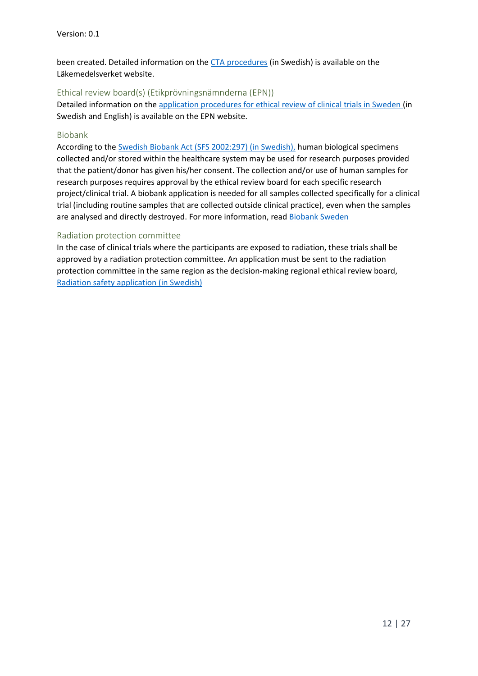been created. Detailed information on the CTA [procedures](https://lakemedelsverket.se/malgrupp/Foretag/Lakemedel/Kliniska-provningar/Ansokan-steg-for-steg/) (in Swedish) is available on the Läkemedelsverket website.

#### Ethical review board(s) (Etikprövningsnämnderna (EPN))

Detailed information on the [application procedures for ethical review of clinical trials in Sweden](https://www.epn.se/) (in Swedish and English) is available on the EPN website.

#### Biobank

According to the Swedish Biobank Act [\(SFS 2002:297\) \(in Swedish\),](http://www.riksdagen.se/sv/dokument-lagar/dokument/svensk-forfattningssamling/lag-2002297-om-biobanker-i-halso--och_sfs-2002-297) human biological specimens collected and/or stored within the healthcare system may be used for research purposes provided that the patient/donor has given his/her consent. The collection and/or use of human samples for research purposes requires approval by the ethical review board for each specific research project/clinical trial. A biobank application is needed for all samples collected specifically for a clinical trial (including routine samples that are collected outside clinical practice), even when the samples are analysed and directly destroyed. For more information, read [Biobank Sweden](http://biobanksverige.se/research/basic-information-in-english/)

#### Radiation protection committee

In the case of clinical trials where the participants are exposed to radiation, these trials shall be approved by a radiation protection committee. An application must be sent to the radiation protection committee in the same region as the decision-making regional ethical review board, [Radiation safety application \(in Swedish\)](https://www.stralsakerhetsmyndigheten.se/Om-myndigheten/)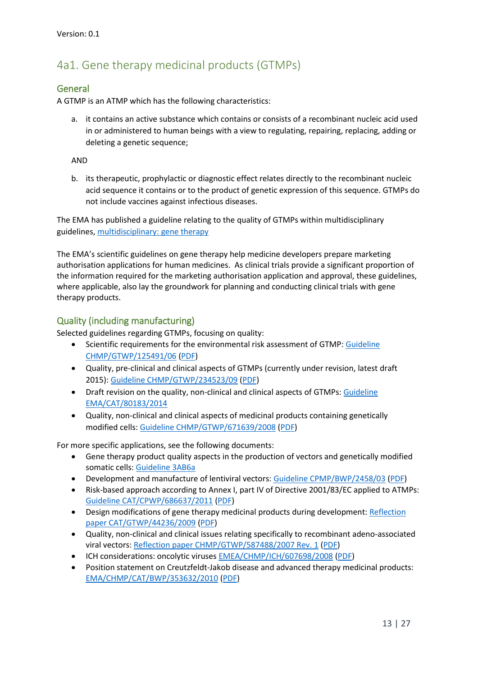# 4a1. Gene therapy medicinal products (GTMPs)

#### General

A GTMP is an ATMP which has the following characteristics:

a. it contains an active substance which contains or consists of a recombinant nucleic acid used in or administered to human beings with a view to regulating, repairing, replacing, adding or deleting a genetic sequence;

AND

b. its therapeutic, prophylactic or diagnostic effect relates directly to the recombinant nucleic acid sequence it contains or to the product of genetic expression of this sequence. GTMPs do not include vaccines against infectious diseases.

The EMA has published a guideline relating to the quality of GTMPs within multidisciplinary guidelines, [multidisciplinary:](http://www.ema.europa.eu/ema/index.jsp?curl=pages/regulation/general/general_content_000410.jsp&mid=WC0b01ac058002958d) gene therapy

The EMA's scientific guidelines on gene therapy help medicine developers prepare marketing authorisation applications for human medicines. As clinical trials provide a significant proportion of the information required for the marketing authorisation application and approval, these guidelines, where applicable, also lay the groundwork for planning and conducting clinical trials with gene therapy products.

#### Quality (including manufacturing)

Selected guidelines regarding GTMPs, focusing on quality:

- Scientific requirements for the environmental risk assessment of GTMP[: Guideline](http://www.ema.europa.eu/ema/index.jsp?curl=pages/regulation/general/general_content_001003.jsp&mid=WC0b01ac0580a4aa6a)  [CHMP/GTWP/125491/06](http://www.ema.europa.eu/ema/index.jsp?curl=pages/regulation/general/general_content_001003.jsp&mid=WC0b01ac0580a4aa6a) [\(PDF\)](http://www.ema.europa.eu/docs/en_GB/document_library/Scientific_guideline/2009/09/WC500003964.pdf)
- Quality, pre-clinical and clinical aspects of GTMPs (currently under revision, latest draft 2015): [Guideline CHMP/GTWP/234523/09](http://www.ema.europa.eu/ema/index.jsp?curl=pages/regulation/general/general_content_000873.jsp&mid=WC0b01ac058002956b) [\(PDF\)](http://www.ema.europa.eu/docs/en_GB/document_library/Scientific_guideline/2009/10/WC500003987.pdf)
- Draft revision on the quality, non-clinical and clinical aspects of GTMPs: [Guideline](http://www.ema.europa.eu/docs/en_GB/document_library/Scientific_guideline/2015/05/WC500187020.pdf)  [EMA/CAT/80183/2014](http://www.ema.europa.eu/docs/en_GB/document_library/Scientific_guideline/2015/05/WC500187020.pdf)
- Quality, non-clinical and clinical aspects of medicinal products containing genetically modified cells: [Guideline CHMP/GTWP/671639/2008](http://www.ema.europa.eu/ema/index.jsp?curl=pages/regulation/general/general_content_001372.jsp&mid=WC0b01ac058002958d) [\(PDF\)](http://www.ema.europa.eu/docs/en_GB/document_library/Scientific_guideline/2012/05/WC500126836.pdf)

For more specific applications, see the following documents:

- Gene therapy product quality aspects in the production of vectors and genetically modified somatic cells: [Guideline 3AB6a](http://www.ema.europa.eu/docs/en_GB/document_library/Scientific_guideline/2009/09/WC500003449.pdf)
- Development and manufacture of lentiviral vectors[: Guideline CPMP/BWP/2458/03](http://www.ema.europa.eu/ema/index.jsp?curl=pages/regulation/general/general_content_000870.jsp&mid=WC0b01ac058002956b) [\(PDF\)](http://www.ema.europa.eu/docs/en_GB/document_library/Scientific_guideline/2009/10/WC500003984.pdf)
- Risk-based approach according to Annex I, part IV of Directive 2001/83/EC applied to ATMPs: [Guideline CAT/CPWP/686637/2011](http://www.ema.europa.eu/ema/index.jsp?curl=pages/regulation/general/general_content_001347.jsp&mid=WC0b01ac058002958a) [\(PDF\)](http://www.ema.europa.eu/docs/en_GB/document_library/Scientific_guideline/2013/03/WC500139748.pdf)
- Design modifications of gene therapy medicinal products during development: [Reflection](http://www.ema.europa.eu/ema/index.jsp?curl=pages/regulation/general/general_content_001371.jsp&mid=WC0b01ac058002958d)  [paper CAT/GTWP/44236/2009](http://www.ema.europa.eu/ema/index.jsp?curl=pages/regulation/general/general_content_001371.jsp&mid=WC0b01ac058002958d) [\(PDF\)](http://www.ema.europa.eu/docs/en_GB/document_library/Scientific_guideline/2012/02/WC500122743.pdf)
- Quality, non-clinical and clinical issues relating specifically to recombinant adeno-associated viral vectors[: Reflection paper CHMP/GTWP/587488/2007 Rev. 1](http://www.ema.europa.eu/ema/index.jsp?curl=pages/regulation/general/general_content_001374.jsp&mid=WC0b01ac058002958d) [\(PDF\)](http://www.ema.europa.eu/docs/en_GB/document_library/Scientific_guideline/2010/07/WC500094345.pdf)
- ICH considerations: oncolytic viruses [EMEA/CHMP/ICH/607698/2008](http://www.ema.europa.eu/ema/index.jsp?curl=pages/regulation/general/general_content_001328.jsp&mid=WC0b01ac058002958d) [\(PDF\)](http://www.ema.europa.eu/docs/en_GB/document_library/Scientific_guideline/2009/10/WC500005222.pdf)
- Position statement on Creutzfeldt-Jakob disease and advanced therapy medicinal products: [EMA/CHMP/CAT/BWP/353632/2010](http://www.ema.europa.eu/ema/index.jsp?curl=pages/regulation/general/general_content_000949.jsp&mid=WC0b01ac058002956c) [\(PDF\)](http://www.ema.europa.eu/docs/en_GB/document_library/Position_statement/2011/06/WC500108069.pdf)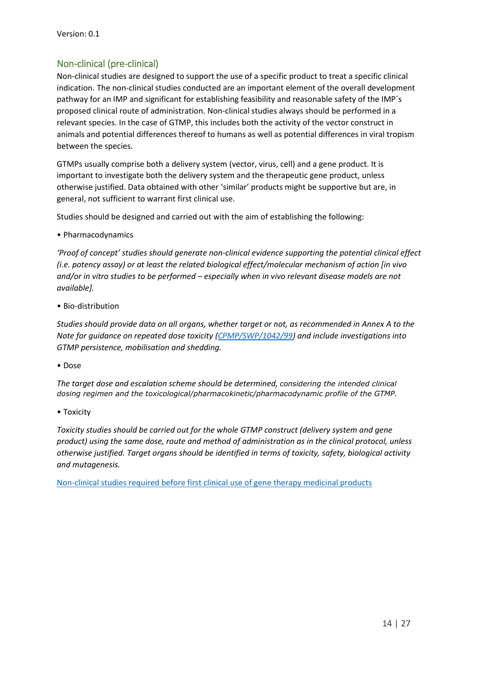### Non-clinical (pre-clinical)

Non-clinical studies are designed to support the use of a specific product to treat a specific clinical indication. The non-clinical studies conducted are an important element of the overall development pathway for an IMP and significant for establishing feasibility and reasonable safety of the IMP´s proposed clinical route of administration. Non-clinical studies always should be performed in a relevant species. In the case of GTMP, this includes both the activity of the vector construct in animals and potential differences thereof to humans as well as potential differences in viral tropism between the species.

GTMPs usually comprise both a delivery system (vector, virus, cell) and a gene product. It is important to investigate both the delivery system and the therapeutic gene product, unless otherwise justified. Data obtained with other 'similar' products might be supportive but are, in general, not sufficient to warrant first clinical use.

Studies should be designed and carried out with the aim of establishing the following:

• Pharmacodynamics

*'Proof of concept' studies should generate non-clinical evidence supporting the potential clinical effect (i.e. potency assay) or at least the related biological effect/molecular mechanism of action [in vivo and/or in vitro studies to be performed – especially when in vivo relevant disease models are not available].*

• Bio-distribution

*Studies should provide data on all organs, whether target or not, as recommended in Annex A to the Note for guidance on repeated dose toxicity [\(CPMP/SWP/1042/99\)](http://www.ema.europa.eu/docs/en_GB/document_library/Scientific_guideline/2010/03/WC500079536.pdf) and include investigations into GTMP persistence, mobilisation and shedding.*

• Dose

*The target dose and escalation scheme should be determined, considering the intended clinical dosing regimen and the toxicological/pharmacokinetic/pharmacodynamic profile of the GTMP.*

• Toxicity

*Toxicity studies should be carried out for the whole GTMP construct (delivery system and gene product) using the same dose, route and method of administration as in the clinical protocol, unless otherwise justified. Target organs should be identified in terms of toxicity, safety, biological activity and mutagenesis.*

[Non-clinical studies required before first clinical use of gene therapy medicinal products](http://www.ema.europa.eu/ema/index.jsp?curl=pages/regulation/general/general_content_001002.jsp&mid=WC0b01ac058002956f)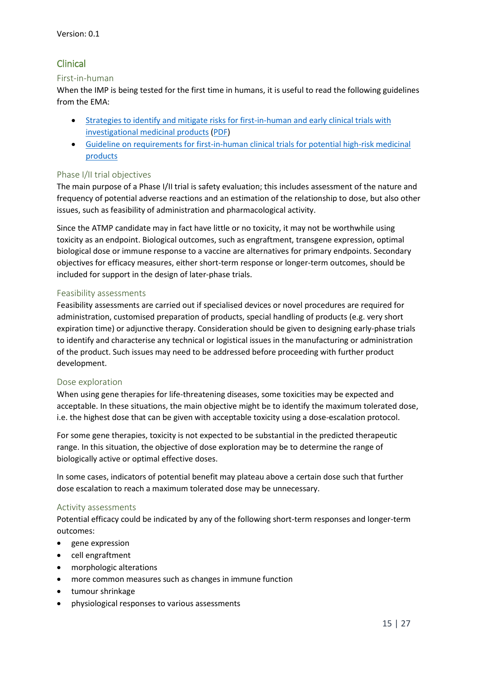### Clinical

#### First-in-human

When the IMP is being tested for the first time in humans, it is useful to read the following guidelines from the EMA:

- [Strategies to identify and mitigate risks for first-in-human and early clinical trials with](http://www.ema.europa.eu/ema/index.jsp?curl=pages/regulation/general/general_content_001001.jsp&mid=WC0b01ac0580029570)  [investigational medicinal products](http://www.ema.europa.eu/ema/index.jsp?curl=pages/regulation/general/general_content_001001.jsp&mid=WC0b01ac0580029570) [\(PDF\)](http://www.ema.europa.eu/docs/en_GB/document_library/Scientific_guideline/2017/07/WC500232186.pdf)
- [Guideline on requirements for first-in-human clinical trials for potential high-risk medicinal](http://www.ema.europa.eu/docs/en_GB/document_library/Scientific_guideline/2009/09/WC500002989.pdf)  [products](http://www.ema.europa.eu/docs/en_GB/document_library/Scientific_guideline/2009/09/WC500002989.pdf)

#### Phase I/II trial objectives

The main purpose of a Phase I/II trial is safety evaluation; this includes assessment of the nature and frequency of potential adverse reactions and an estimation of the relationship to dose, but also other issues, such as feasibility of administration and pharmacological activity.

Since the ATMP candidate may in fact have little or no toxicity, it may not be worthwhile using toxicity as an endpoint. Biological outcomes, such as engraftment, transgene expression, optimal biological dose or immune response to a vaccine are alternatives for primary endpoints. Secondary objectives for efficacy measures, either short-term response or longer-term outcomes, should be included for support in the design of later-phase trials.

#### Feasibility assessments

Feasibility assessments are carried out if specialised devices or novel procedures are required for administration, customised preparation of products, special handling of products (e.g. very short expiration time) or adjunctive therapy. Consideration should be given to designing early-phase trials to identify and characterise any technical or logistical issues in the manufacturing or administration of the product. Such issues may need to be addressed before proceeding with further product development.

#### Dose exploration

When using gene therapies for life-threatening diseases, some toxicities may be expected and acceptable. In these situations, the main objective might be to identify the maximum tolerated dose, i.e. the highest dose that can be given with acceptable toxicity using a dose-escalation protocol.

For some gene therapies, toxicity is not expected to be substantial in the predicted therapeutic range. In this situation, the objective of dose exploration may be to determine the range of biologically active or optimal effective doses.

In some cases, indicators of potential benefit may plateau above a certain dose such that further dose escalation to reach a maximum tolerated dose may be unnecessary.

#### Activity assessments

Potential efficacy could be indicated by any of the following short-term responses and longer-term outcomes:

- gene expression
- cell engraftment
- morphologic alterations
- more common measures such as changes in immune function
- tumour shrinkage
- physiological responses to various assessments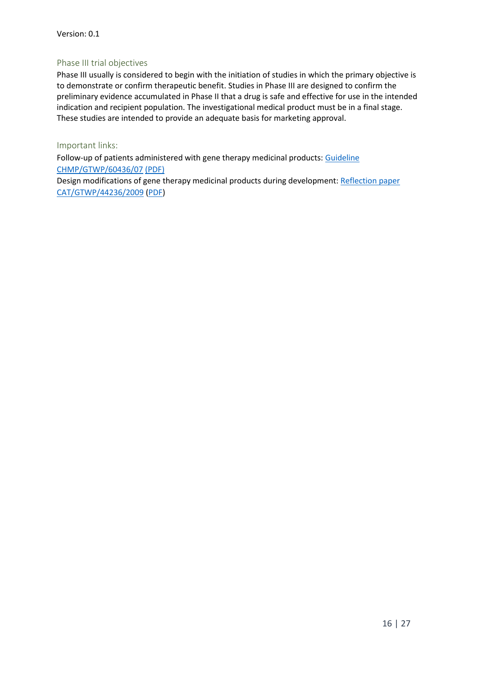#### Phase III trial objectives

Phase III usually is considered to begin with the initiation of studies in which the primary objective is to demonstrate or confirm therapeutic benefit. Studies in Phase III are designed to confirm the preliminary evidence accumulated in Phase II that a drug is safe and effective for use in the intended indication and recipient population. The investigational medical product must be in a final stage. These studies are intended to provide an adequate basis for marketing approval.

#### Important links:

Follow-up of patients administered with gene therapy medicinal products: Guideline [CHMP/GTWP/60436/07](http://www.ema.europa.eu/ema/index.jsp?curl=pages/regulation/general/general_content_001375.jsp&mid=WC0b01ac058002958d) [\(PDF\)](http://www.ema.europa.eu/docs/en_GB/document_library/Scientific_guideline/2009/11/WC500013424.pdf)

Design modifications of gene therapy medicinal products during development: [Reflection paper](http://www.ema.europa.eu/ema/index.jsp?curl=pages/regulation/general/general_content_001371.jsp&mid=WC0b01ac058002958d)  [CAT/GTWP/44236/2009](http://www.ema.europa.eu/ema/index.jsp?curl=pages/regulation/general/general_content_001371.jsp&mid=WC0b01ac058002958d) [\(PDF\)](http://www.ema.europa.eu/docs/en_GB/document_library/Scientific_guideline/2012/02/WC500122743.pdf)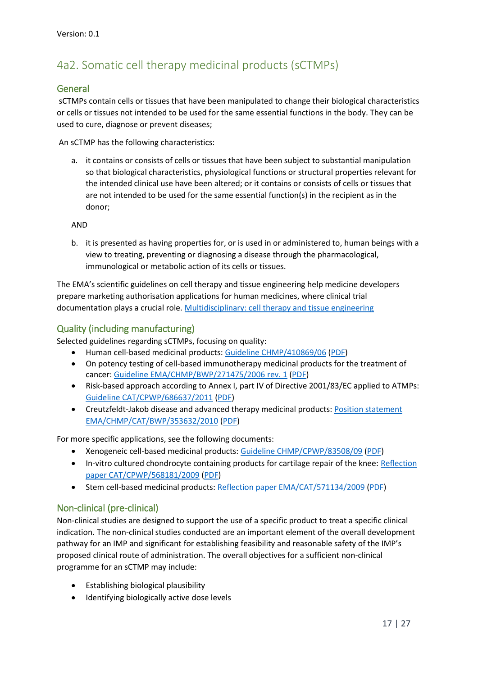# 4a2. Somatic cell therapy medicinal products (sCTMPs)

#### General

sCTMPs contain cells or tissues that have been manipulated to change their biological characteristics or cells or tissues not intended to be used for the same essential functions in the body. They can be used to cure, diagnose or prevent diseases;

An sCTMP has the following characteristics:

a. it contains or consists of cells or tissues that have been subject to substantial manipulation so that biological characteristics, physiological functions or structural properties relevant for the intended clinical use have been altered; or it contains or consists of cells or tissues that are not intended to be used for the same essential function(s) in the recipient as in the donor;

AND

b. it is presented as having properties for, or is used in or administered to, human beings with a view to treating, preventing or diagnosing a disease through the pharmacological, immunological or metabolic action of its cells or tissues.

The EMA's scientific guidelines on cell therapy and tissue engineering help medicine developers prepare marketing authorisation applications for human medicines, where clinical trial documentation plays a crucial role. [Multidisciplinary: cell therapy and tissue engineering](http://www.ema.europa.eu/ema/index.jsp?curl=pages/regulation/general/general_content_000405.jsp&mid=WC0b01ac058002958a)

### Quality (including manufacturing)

Selected guidelines regarding sCTMPs, focusing on quality:

- Human cell-based medicinal products: [Guideline CHMP/410869/06](http://www.ema.europa.eu/ema/index.jsp?curl=pages/regulation/general/general_content_000872.jsp&mid=WC0b01ac058002958a) [\(PDF\)](http://www.ema.europa.eu/docs/en_GB/document_library/Scientific_guideline/2009/09/WC500003894.pdf)
- On potency testing of cell-based immunotherapy medicinal products for the treatment of cancer: [Guideline EMA/CHMP/BWP/271475/2006 rev. 1](http://www.ema.europa.eu/ema/index.jsp?curl=pages/regulation/general/general_content_000868.jsp&mid=WC0b01ac058002956b) [\(PDF\)](http://www.ema.europa.eu/docs/en_GB/document_library/Scientific_guideline/2016/08/WC500211641.pdf)
- Risk-based approach according to Annex I, part IV of Directive 2001/83/EC applied to ATMPs: [Guideline CAT/CPWP/686637/2011](http://www.ema.europa.eu/ema/index.jsp?curl=pages/regulation/general/general_content_001347.jsp&mid=WC0b01ac058002958a) [\(PDF\)](http://www.ema.europa.eu/docs/en_GB/document_library/Scientific_guideline/2013/03/WC500139748.pdf)
- Creutzfeldt-Jakob disease and advanced therapy medicinal products: [Position statement](http://www.ema.europa.eu/ema/index.jsp?curl=pages/regulation/general/general_content_000949.jsp&mid=WC0b01ac058002956c)  [EMA/CHMP/CAT/BWP/353632/2010](http://www.ema.europa.eu/ema/index.jsp?curl=pages/regulation/general/general_content_000949.jsp&mid=WC0b01ac058002956c) [\(PDF\)](http://www.ema.europa.eu/docs/en_GB/document_library/Position_statement/2011/06/WC500108069.pdf)

For more specific applications, see the following documents:

- Xenogeneic cell-based medicinal products[: Guideline CHMP/CPWP/83508/09](http://www.ema.europa.eu/ema/index.jsp?curl=pages/regulation/general/general_content_000874.jsp&mid=WC0b01ac058002956b) [\(PDF\)](http://www.ema.europa.eu/docs/en_GB/document_library/Scientific_guideline/2009/12/WC500016936.pdf)
- In-vitro cultured chondrocyte containing products for cartilage repair of the knee: Reflection [paper CAT/CPWP/568181/2009](http://www.ema.europa.eu/ema/index.jsp?curl=pages/regulation/general/general_content_001349.jsp&mid=WC0b01ac058002958a) [\(PDF\)](http://www.ema.europa.eu/docs/en_GB/document_library/Scientific_guideline/2010/05/WC500090887.pdf)
- Stem cell-based medicinal products: [Reflection paper EMA/CAT/571134/2009](http://www.ema.europa.eu/ema/index.jsp?curl=pages/regulation/general/general_content_001348.jsp&mid=WC0b01ac058002958a) [\(PDF\)](http://www.ema.europa.eu/docs/en_GB/document_library/Scientific_guideline/2011/02/WC500101692.pdf)

#### Non-clinical (pre-clinical)

Non-clinical studies are designed to support the use of a specific product to treat a specific clinical indication. The non-clinical studies conducted are an important element of the overall development pathway for an IMP and significant for establishing feasibility and reasonable safety of the IMP's proposed clinical route of administration. The overall objectives for a sufficient non-clinical programme for an sCTMP may include:

- Establishing biological plausibility
- Identifying biologically active dose levels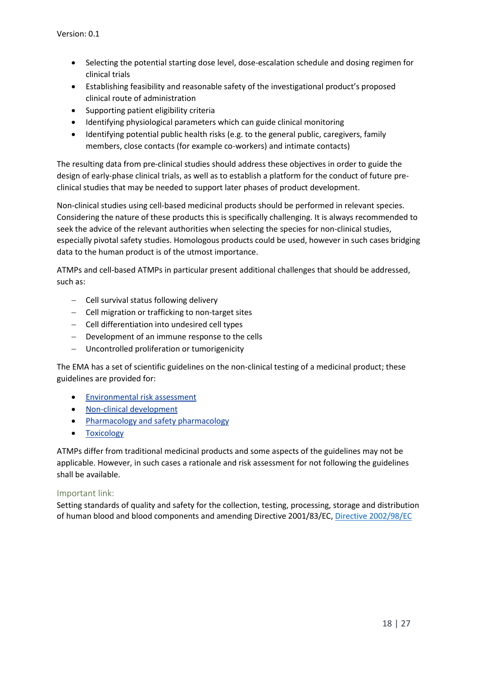- Selecting the potential starting dose level, dose-escalation schedule and dosing regimen for clinical trials
- Establishing feasibility and reasonable safety of the investigational product's proposed clinical route of administration
- Supporting patient eligibility criteria
- Identifying physiological parameters which can guide clinical monitoring
- Identifying potential public health risks (e.g. to the general public, caregivers, family members, close contacts (for example co-workers) and intimate contacts)

The resulting data from pre-clinical studies should address these objectives in order to guide the design of early-phase clinical trials, as well as to establish a platform for the conduct of future preclinical studies that may be needed to support later phases of product development.

Non-clinical studies using cell-based medicinal products should be performed in relevant species. Considering the nature of these products this is specifically challenging. It is always recommended to seek the advice of the relevant authorities when selecting the species for non-clinical studies, especially pivotal safety studies. Homologous products could be used, however in such cases bridging data to the human product is of the utmost importance.

ATMPs and cell-based ATMPs in particular present additional challenges that should be addressed, such as:

- $-$  Cell survival status following delivery
- Cell migration or trafficking to non-target sites
- Cell differentiation into undesired cell types
- Development of an immune response to the cells
- Uncontrolled proliferation or tumorigenicity

The EMA has a set of scientific guidelines on the non-clinical testing of a medicinal product; these guidelines are provided for:

- [Environmental risk assessment](http://www.ema.europa.eu/ema/index.jsp?curl=pages/regulation/general/general_content_001602.jsp&mid=WC0b01ac0580a4aa6a)
- [Non-clinical development](http://www.ema.europa.eu/ema/index.jsp?curl=pages/regulation/general/general_content_000400.jsp&mid=WC0b01ac0580029570)
- [Pharmacology and safety pharmacology](http://www.ema.europa.eu/ema/index.jsp?curl=pages/regulation/general/general_content_000395.jsp&mid=WC0b01ac058002956d)
- [Toxicology](http://www.ema.europa.eu/ema/index.jsp?curl=pages/regulation/general/general_content_000397.jsp&mid=WC0b01ac058002956f)

ATMPs differ from traditional medicinal products and some aspects of the guidelines may not be applicable. However, in such cases a rationale and risk assessment for not following the guidelines shall be available.

#### Important link:

Setting standards of quality and safety for the collection, testing, processing, storage and distribution of human blood and blood components and amending Directive 2001/83/EC[, Directive](http://eur-lex.europa.eu/legal-content/EN/TXT/PDF/?uri=CELEX:32002L0098&rid=1) [2002/98/EC](http://eur-lex.europa.eu/legal-content/EN/TXT/PDF/?uri=CELEX:32002L0098&rid=1)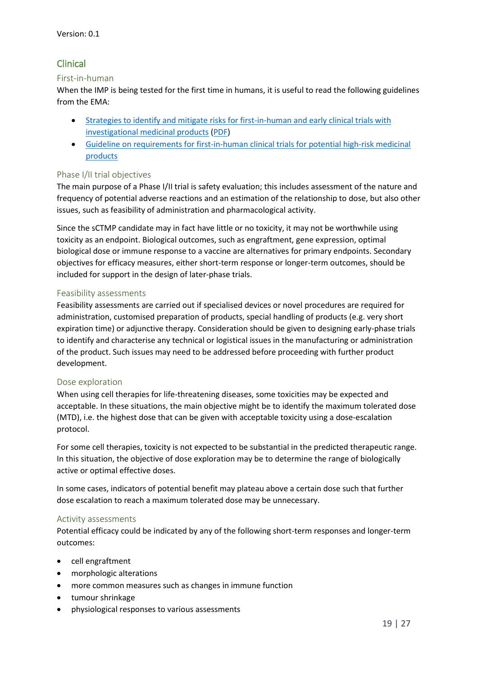### Clinical

#### First-in-human

When the IMP is being tested for the first time in humans, it is useful to read the following guidelines from the EMA:

- [Strategies to identify and mitigate risks for first-in-human and early clinical trials with](http://www.ema.europa.eu/ema/index.jsp?curl=pages/regulation/general/general_content_001001.jsp&mid=WC0b01ac0580029570)  [investigational medicinal products](http://www.ema.europa.eu/ema/index.jsp?curl=pages/regulation/general/general_content_001001.jsp&mid=WC0b01ac0580029570) [\(PDF\)](http://www.ema.europa.eu/docs/en_GB/document_library/Scientific_guideline/2017/07/WC500232186.pdf)
- Guideline on requirements for first-in-human [clinical trials for potential high-risk medicinal](http://www.ema.europa.eu/docs/en_GB/document_library/Scientific_guideline/2009/09/WC500002989.pdf)  [products](http://www.ema.europa.eu/docs/en_GB/document_library/Scientific_guideline/2009/09/WC500002989.pdf)

#### Phase I/II trial objectives

The main purpose of a Phase I/II trial is safety evaluation; this includes assessment of the nature and frequency of potential adverse reactions and an estimation of the relationship to dose, but also other issues, such as feasibility of administration and pharmacological activity.

Since the sCTMP candidate may in fact have little or no toxicity, it may not be worthwhile using toxicity as an endpoint. Biological outcomes, such as engraftment, gene expression, optimal biological dose or immune response to a vaccine are alternatives for primary endpoints. Secondary objectives for efficacy measures, either short-term response or longer-term outcomes, should be included for support in the design of later-phase trials.

#### Feasibility assessments

Feasibility assessments are carried out if specialised devices or novel procedures are required for administration, customised preparation of products, special handling of products (e.g. very short expiration time) or adjunctive therapy. Consideration should be given to designing early-phase trials to identify and characterise any technical or logistical issues in the manufacturing or administration of the product. Such issues may need to be addressed before proceeding with further product development.

#### Dose exploration

When using cell therapies for life-threatening diseases, some toxicities may be expected and acceptable. In these situations, the main objective might be to identify the maximum tolerated dose (MTD), i.e. the highest dose that can be given with acceptable toxicity using a dose-escalation protocol.

For some cell therapies, toxicity is not expected to be substantial in the predicted therapeutic range. In this situation, the objective of dose exploration may be to determine the range of biologically active or optimal effective doses.

In some cases, indicators of potential benefit may plateau above a certain dose such that further dose escalation to reach a maximum tolerated dose may be unnecessary.

#### Activity assessments

Potential efficacy could be indicated by any of the following short-term responses and longer-term outcomes:

- cell engraftment
- morphologic alterations
- more common measures such as changes in immune function
- tumour shrinkage
- physiological responses to various assessments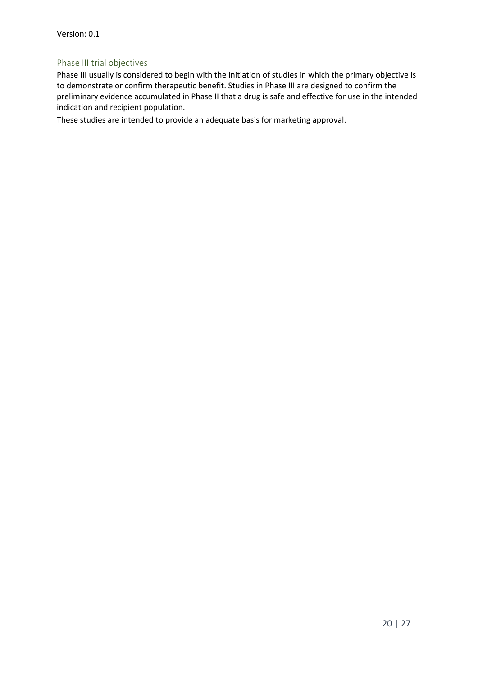#### Phase III trial objectives

Phase III usually is considered to begin with the initiation of studies in which the primary objective is to demonstrate or confirm therapeutic benefit. Studies in Phase III are designed to confirm the preliminary evidence accumulated in Phase II that a drug is safe and effective for use in the intended indication and recipient population.

These studies are intended to provide an adequate basis for marketing approval.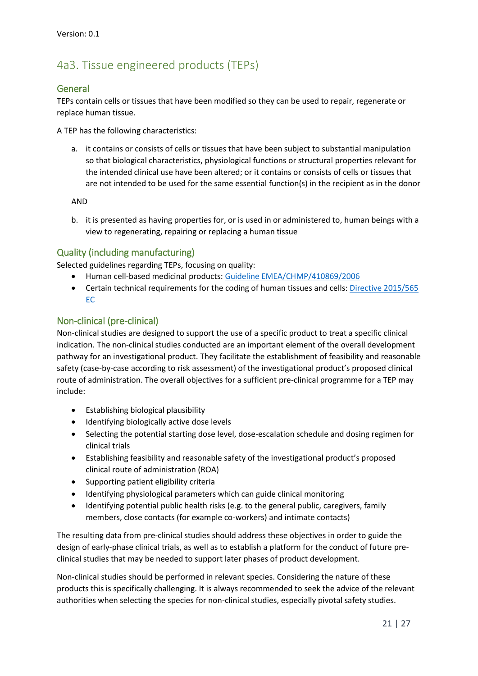# 4a3. Tissue engineered products (TEPs)

#### General

TEPs contain cells or tissues that have been modified so they can be used to repair, regenerate or replace human tissue.

A TEP has the following characteristics:

a. it contains or consists of cells or tissues that have been subject to substantial manipulation so that biological characteristics, physiological functions or structural properties relevant for the intended clinical use have been altered; or it contains or consists of cells or tissues that are not intended to be used for the same essential function(s) in the recipient as in the donor

AND

b. it is presented as having properties for, or is used in or administered to, human beings with a view to regenerating, repairing or replacing a human tissue

#### Quality (including manufacturing)

Selected guidelines regarding TEPs, focusing on quality:

- Human cell-based medicinal products: [Guideline EMEA/CHMP/410869/2006](http://www.ema.europa.eu/docs/en_GB/document_library/Scientific_guideline/2009/09/WC500003894.pdf)
- Certain technical requirements for the coding of human tissues and cells: [Directive](http://eur-lex.europa.eu/legal-content/EN/TXT/PDF/?uri=CELEX:32015L0565&from=EN) 2015/565 [EC](http://eur-lex.europa.eu/legal-content/EN/TXT/PDF/?uri=CELEX:32015L0565&from=EN)

#### Non-clinical (pre-clinical)

Non-clinical studies are designed to support the use of a specific product to treat a specific clinical indication. The non-clinical studies conducted are an important element of the overall development pathway for an investigational product. They facilitate the establishment of feasibility and reasonable safety (case-by-case according to risk assessment) of the investigational product's proposed clinical route of administration. The overall objectives for a sufficient pre-clinical programme for a TEP may include:

- Establishing biological plausibility
- Identifying biologically active dose levels
- Selecting the potential starting dose level, dose-escalation schedule and dosing regimen for clinical trials
- Establishing feasibility and reasonable safety of the investigational product's proposed clinical route of administration (ROA)
- Supporting patient eligibility criteria
- Identifying physiological parameters which can guide clinical monitoring
- Identifying potential public health risks (e.g. to the general public, caregivers, family members, close contacts (for example co-workers) and intimate contacts)

The resulting data from pre-clinical studies should address these objectives in order to guide the design of early-phase clinical trials, as well as to establish a platform for the conduct of future preclinical studies that may be needed to support later phases of product development.

Non-clinical studies should be performed in relevant species. Considering the nature of these products this is specifically challenging. It is always recommended to seek the advice of the relevant authorities when selecting the species for non-clinical studies, especially pivotal safety studies.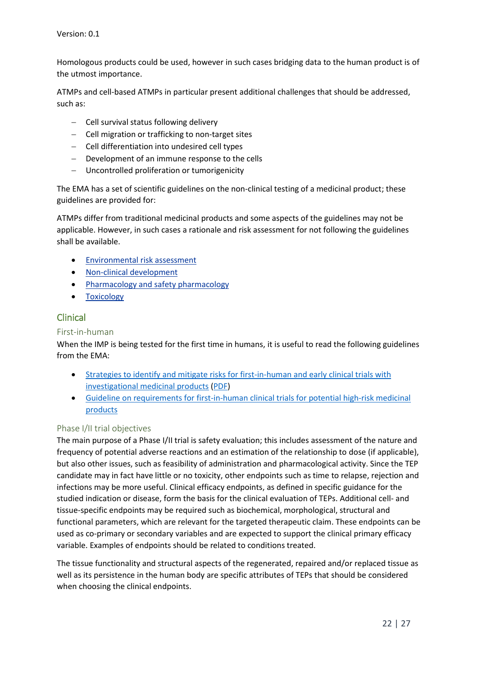Homologous products could be used, however in such cases bridging data to the human product is of the utmost importance.

ATMPs and cell-based ATMPs in particular present additional challenges that should be addressed, such as:

- Cell survival status following delivery
- Cell migration or trafficking to non-target sites
- Cell differentiation into undesired cell types
- Development of an immune response to the cells
- Uncontrolled proliferation or tumorigenicity

The EMA has a set of scientific guidelines on the non-clinical testing of a medicinal product; these guidelines are provided for:

ATMPs differ from traditional medicinal products and some aspects of the guidelines may not be applicable. However, in such cases a rationale and risk assessment for not following the guidelines shall be available.

- [Environmental risk assessment](http://www.ema.europa.eu/ema/index.jsp?curl=pages/regulation/general/general_content_001602.jsp&mid=WC0b01ac0580a4aa6a)
- [Non-clinical development](http://www.ema.europa.eu/ema/index.jsp?curl=pages/regulation/general/general_content_000400.jsp&mid=WC0b01ac0580029570)
- [Pharmacology and safety pharmacology](http://www.ema.europa.eu/ema/index.jsp?curl=pages/regulation/general/general_content_000395.jsp&mid=WC0b01ac058002956d)
- **•** [Toxicology](http://www.ema.europa.eu/ema/index.jsp?curl=pages/regulation/general/general_content_000397.jsp&mid=WC0b01ac058002956f)

### Clinical

#### First-in-human

When the IMP is being tested for the first time in humans, it is useful to read the following guidelines from the EMA:

- [Strategies to identify and mitigate risks for first-in-human and early clinical trials with](http://www.ema.europa.eu/ema/index.jsp?curl=pages/regulation/general/general_content_001001.jsp&mid=WC0b01ac0580029570)  [investigational medicinal products](http://www.ema.europa.eu/ema/index.jsp?curl=pages/regulation/general/general_content_001001.jsp&mid=WC0b01ac0580029570) [\(PDF\)](http://www.ema.europa.eu/docs/en_GB/document_library/Scientific_guideline/2017/07/WC500232186.pdf)
- Guideline on requirements for first-in-human [clinical trials for potential high-risk medicinal](http://www.ema.europa.eu/docs/en_GB/document_library/Scientific_guideline/2009/09/WC500002989.pdf)  [products](http://www.ema.europa.eu/docs/en_GB/document_library/Scientific_guideline/2009/09/WC500002989.pdf)

#### Phase I/II trial objectives

The main purpose of a Phase I/II trial is safety evaluation; this includes assessment of the nature and frequency of potential adverse reactions and an estimation of the relationship to dose (if applicable), but also other issues, such as feasibility of administration and pharmacological activity. Since the TEP candidate may in fact have little or no toxicity, other endpoints such as time to relapse, rejection and infections may be more useful. Clinical efficacy endpoints, as defined in specific guidance for the studied indication or disease, form the basis for the clinical evaluation of TEPs. Additional cell- and tissue-specific endpoints may be required such as biochemical, morphological, structural and functional parameters, which are relevant for the targeted therapeutic claim. These endpoints can be used as co-primary or secondary variables and are expected to support the clinical primary efficacy variable. Examples of endpoints should be related to conditions treated.

The tissue functionality and structural aspects of the regenerated, repaired and/or replaced tissue as well as its persistence in the human body are specific attributes of TEPs that should be considered when choosing the clinical endpoints.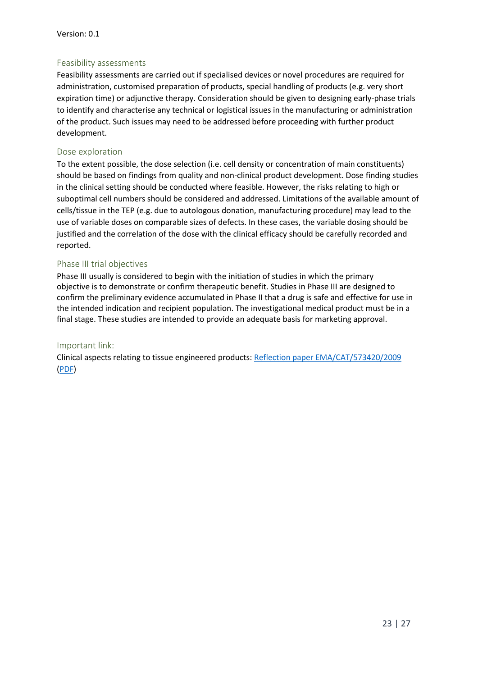#### Feasibility assessments

Feasibility assessments are carried out if specialised devices or novel procedures are required for administration, customised preparation of products, special handling of products (e.g. very short expiration time) or adjunctive therapy. Consideration should be given to designing early-phase trials to identify and characterise any technical or logistical issues in the manufacturing or administration of the product. Such issues may need to be addressed before proceeding with further product development.

#### Dose exploration

To the extent possible, the dose selection (i.e. cell density or concentration of main constituents) should be based on findings from quality and non-clinical product development. Dose finding studies in the clinical setting should be conducted where feasible. However, the risks relating to high or suboptimal cell numbers should be considered and addressed. Limitations of the available amount of cells/tissue in the TEP (e.g. due to autologous donation, manufacturing procedure) may lead to the use of variable doses on comparable sizes of defects. In these cases, the variable dosing should be justified and the correlation of the dose with the clinical efficacy should be carefully recorded and reported.

#### Phase III trial objectives

Phase III usually is considered to begin with the initiation of studies in which the primary objective is to demonstrate or confirm therapeutic benefit. Studies in Phase III are designed to confirm the preliminary evidence accumulated in Phase II that a drug is safe and effective for use in the intended indication and recipient population. The investigational medical product must be in a final stage. These studies are intended to provide an adequate basis for marketing approval.

#### Important link:

Clinical aspects relating to tissue engineered products[: Reflection paper EMA/CAT/573420/2009](http://www.ema.europa.eu/ema/index.jsp?curl=pages/regulation/general/general_content_001345.jsp&mid=WC0b01ac058002958a) [\(PDF\)](http://www.ema.europa.eu/docs/en_GB/document_library/Scientific_guideline/2014/12/WC500178891.pdf)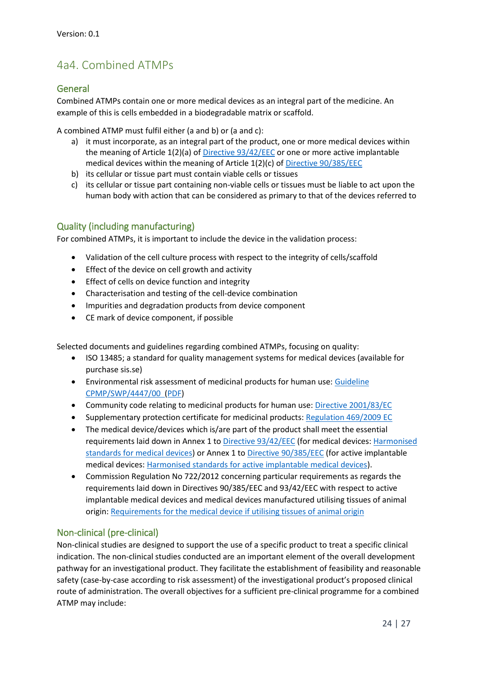# 4a4. Combined ATMPs

#### General

Combined ATMPs contain one or more medical devices as an integral part of the medicine. An example of this is cells embedded in a biodegradable matrix or scaffold.

A combined ATMP must fulfil either (a and b) or (a and c):

- a) it must incorporate, as an integral part of the product, one or more medical devices within the meaning of Article 1(2)(a) o[f Directive 93/42/EEC](http://eur-lex.europa.eu/legal-content/EN/TXT/PDF/?uri=CELEX:31993L0042&from=EN) or one or more active implantable medical devices within the meaning of Article 1(2)(c) of [Directive 90/385/EEC](http://eur-lex.europa.eu/legal-content/EN/TXT/PDF/?uri=CELEX:31990L0385&from=EN)
- b) its cellular or tissue part must contain viable cells or tissues
- c) its cellular or tissue part containing non-viable cells or tissues must be liable to act upon the human body with action that can be considered as primary to that of the devices referred to

#### Quality (including manufacturing)

For combined ATMPs, it is important to include the device in the validation process:

- Validation of the cell culture process with respect to the integrity of cells/scaffold
- **Effect of the device on cell growth and activity**
- **Effect of cells on device function and integrity**
- Characterisation and testing of the cell-device combination
- Impurities and degradation products from device component
- CE mark of device component, if possible

Selected documents and guidelines regarding combined ATMPs, focusing on quality:

- ISO 13485; a standard for quality management systems for medical devices (available for purchase sis.se)
- Environmental risk assessment of medicinal products for human use: [Guideline](http://www.ema.europa.eu/ema/index.jsp?curl=pages/regulation/general/general_content_001004.jsp&mid=WC0b01ac0580a4aa6a)  [CPMP/SWP/4447/00](http://www.ema.europa.eu/ema/index.jsp?curl=pages/regulation/general/general_content_001004.jsp&mid=WC0b01ac0580a4aa6a) [\(PDF\)](http://www.ema.europa.eu/docs/en_GB/document_library/Scientific_guideline/2009/10/WC500003978.pdf)
- Community code relating to medicinal products for human use: [Directive](http://eur-lex.europa.eu/legal-content/EN/TXT/PDF/?uri=CELEX:32001L0083&rid=1) [2001/83/EC](http://eur-lex.europa.eu/legal-content/EN/TXT/PDF/?uri=CELEX:32001L0083&rid=1)
- Supplementary protection certificate for medicinal products: [Regulation](http://eur-lex.europa.eu/legal-content/EN/TXT/PDF/?uri=CELEX:32009R0469&rid=1) [469/2009 EC](http://eur-lex.europa.eu/legal-content/EN/TXT/PDF/?uri=CELEX:32009R0469&rid=1)
- The medical device/devices which is/are part of the product shall meet the essential requirements laid down in Annex 1 to [Directive 93/42/EEC](http://eur-lex.europa.eu/legal-content/EN/TXT/PDF/?uri=CELEX:01993L0042-20071011&from=EN) (for medical devices: [Harmonised](https://ec.europa.eu/growth/single-market/european-standards/harmonised-standards/medical-devices_en)  [standards for medical devices\)](https://ec.europa.eu/growth/single-market/european-standards/harmonised-standards/medical-devices_en) or Annex 1 to [Directive 90/385/EEC](http://eur-lex.europa.eu/legal-content/EN/TXT/PDF/?uri=CELEX:31990L0385&from=EN) (for active implantable medical devices: [Harmonised standards for active implantable medical devices\)](https://ec.europa.eu/growth/single-market/european-standards/harmonised-standards/implantable-medical-devices_en).
- Commission Regulation No 722/2012 concerning particular requirements as regards the requirements laid down in Directives 90/385/EEC and 93/42/EEC with respect to active implantable medical devices and medical devices manufactured utilising tissues of animal origin: [Requirements for the medical device](http://eur-lex.europa.eu/legal-content/EN/TXT/PDF/?uri=CELEX:32012R0722&from=EN) if utilising tissues of animal origin

#### Non-clinical (pre-clinical)

Non-clinical studies are designed to support the use of a specific product to treat a specific clinical indication. The non-clinical studies conducted are an important element of the overall development pathway for an investigational product. They facilitate the establishment of feasibility and reasonable safety (case-by-case according to risk assessment) of the investigational product's proposed clinical route of administration. The overall objectives for a sufficient pre-clinical programme for a combined ATMP may include: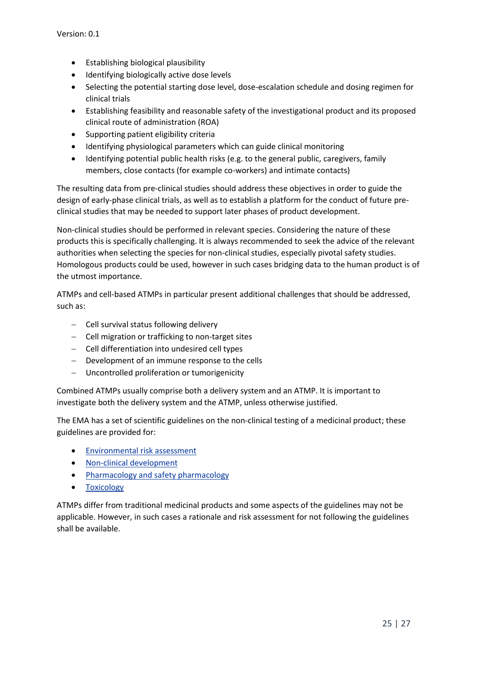- Establishing biological plausibility
- Identifying biologically active dose levels
- Selecting the potential starting dose level, dose-escalation schedule and dosing regimen for clinical trials
- Establishing feasibility and reasonable safety of the investigational product and its proposed clinical route of administration (ROA)
- Supporting patient eligibility criteria
- Identifying physiological parameters which can guide clinical monitoring
- Identifying potential public health risks (e.g. to the general public, caregivers, family members, close contacts (for example co-workers) and intimate contacts)

The resulting data from pre-clinical studies should address these objectives in order to guide the design of early-phase clinical trials, as well as to establish a platform for the conduct of future preclinical studies that may be needed to support later phases of product development.

Non-clinical studies should be performed in relevant species. Considering the nature of these products this is specifically challenging. It is always recommended to seek the advice of the relevant authorities when selecting the species for non-clinical studies, especially pivotal safety studies. Homologous products could be used, however in such cases bridging data to the human product is of the utmost importance.

ATMPs and cell-based ATMPs in particular present additional challenges that should be addressed, such as:

- Cell survival status following delivery
- Cell migration or trafficking to non-target sites
- Cell differentiation into undesired cell types
- Development of an immune response to the cells
- Uncontrolled proliferation or tumorigenicity

Combined ATMPs usually comprise both a delivery system and an ATMP. It is important to investigate both the delivery system and the ATMP, unless otherwise justified.

The EMA has a set of scientific guidelines on the non-clinical testing of a medicinal product; these guidelines are provided for:

- [Environmental risk assessment](http://www.ema.europa.eu/ema/index.jsp?curl=pages/regulation/general/general_content_001602.jsp&mid=WC0b01ac0580a4aa6a)
- [Non-clinical development](http://www.ema.europa.eu/ema/index.jsp?curl=pages/regulation/general/general_content_000400.jsp&mid=WC0b01ac0580029570)
- [Pharmacology and safety pharmacology](http://www.ema.europa.eu/ema/index.jsp?curl=pages/regulation/general/general_content_000395.jsp&mid=WC0b01ac058002956d)
- [Toxicology](http://www.ema.europa.eu/ema/index.jsp?curl=pages/regulation/general/general_content_000397.jsp&mid=WC0b01ac058002956f)

ATMPs differ from traditional medicinal products and some aspects of the guidelines may not be applicable. However, in such cases a rationale and risk assessment for not following the guidelines shall be available.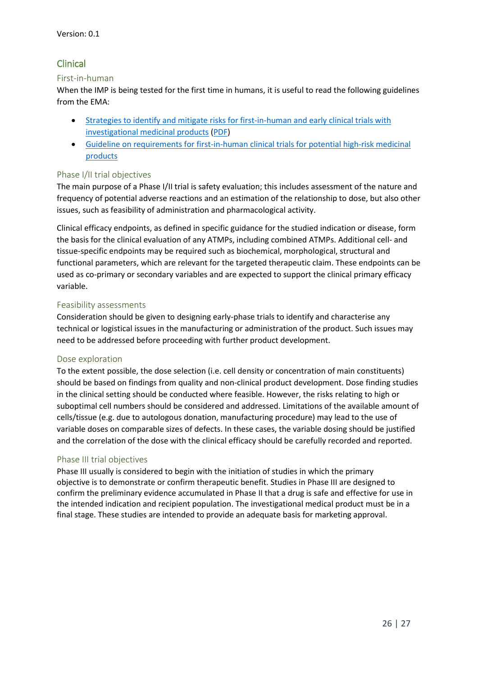### Clinical

#### First-in-human

When the IMP is being tested for the first time in humans, it is useful to read the following guidelines from the EMA:

- [Strategies to identify and mitigate risks for first-in-human and early clinical trials with](http://www.ema.europa.eu/ema/index.jsp?curl=pages/regulation/general/general_content_001001.jsp&mid=WC0b01ac0580029570)  [investigational medicinal products](http://www.ema.europa.eu/ema/index.jsp?curl=pages/regulation/general/general_content_001001.jsp&mid=WC0b01ac0580029570) [\(PDF\)](http://www.ema.europa.eu/docs/en_GB/document_library/Scientific_guideline/2017/07/WC500232186.pdf)
- Guideline on requirements for first-in-human [clinical trials for potential high-risk medicinal](http://www.ema.europa.eu/docs/en_GB/document_library/Scientific_guideline/2009/09/WC500002989.pdf)  [products](http://www.ema.europa.eu/docs/en_GB/document_library/Scientific_guideline/2009/09/WC500002989.pdf)

#### Phase I/II trial objectives

The main purpose of a Phase I/II trial is safety evaluation; this includes assessment of the nature and frequency of potential adverse reactions and an estimation of the relationship to dose, but also other issues, such as feasibility of administration and pharmacological activity.

Clinical efficacy endpoints, as defined in specific guidance for the studied indication or disease, form the basis for the clinical evaluation of any ATMPs, including combined ATMPs. Additional cell- and tissue-specific endpoints may be required such as biochemical, morphological, structural and functional parameters, which are relevant for the targeted therapeutic claim. These endpoints can be used as co-primary or secondary variables and are expected to support the clinical primary efficacy variable.

#### Feasibility assessments

Consideration should be given to designing early-phase trials to identify and characterise any technical or logistical issues in the manufacturing or administration of the product. Such issues may need to be addressed before proceeding with further product development.

#### Dose exploration

To the extent possible, the dose selection (i.e. cell density or concentration of main constituents) should be based on findings from quality and non-clinical product development. Dose finding studies in the clinical setting should be conducted where feasible. However, the risks relating to high or suboptimal cell numbers should be considered and addressed. Limitations of the available amount of cells/tissue (e.g. due to autologous donation, manufacturing procedure) may lead to the use of variable doses on comparable sizes of defects. In these cases, the variable dosing should be justified and the correlation of the dose with the clinical efficacy should be carefully recorded and reported.

#### Phase III trial objectives

Phase III usually is considered to begin with the initiation of studies in which the primary objective is to demonstrate or confirm therapeutic benefit. Studies in Phase III are designed to confirm the preliminary evidence accumulated in Phase II that a drug is safe and effective for use in the intended indication and recipient population. The investigational medical product must be in a final stage. These studies are intended to provide an adequate basis for marketing approval.